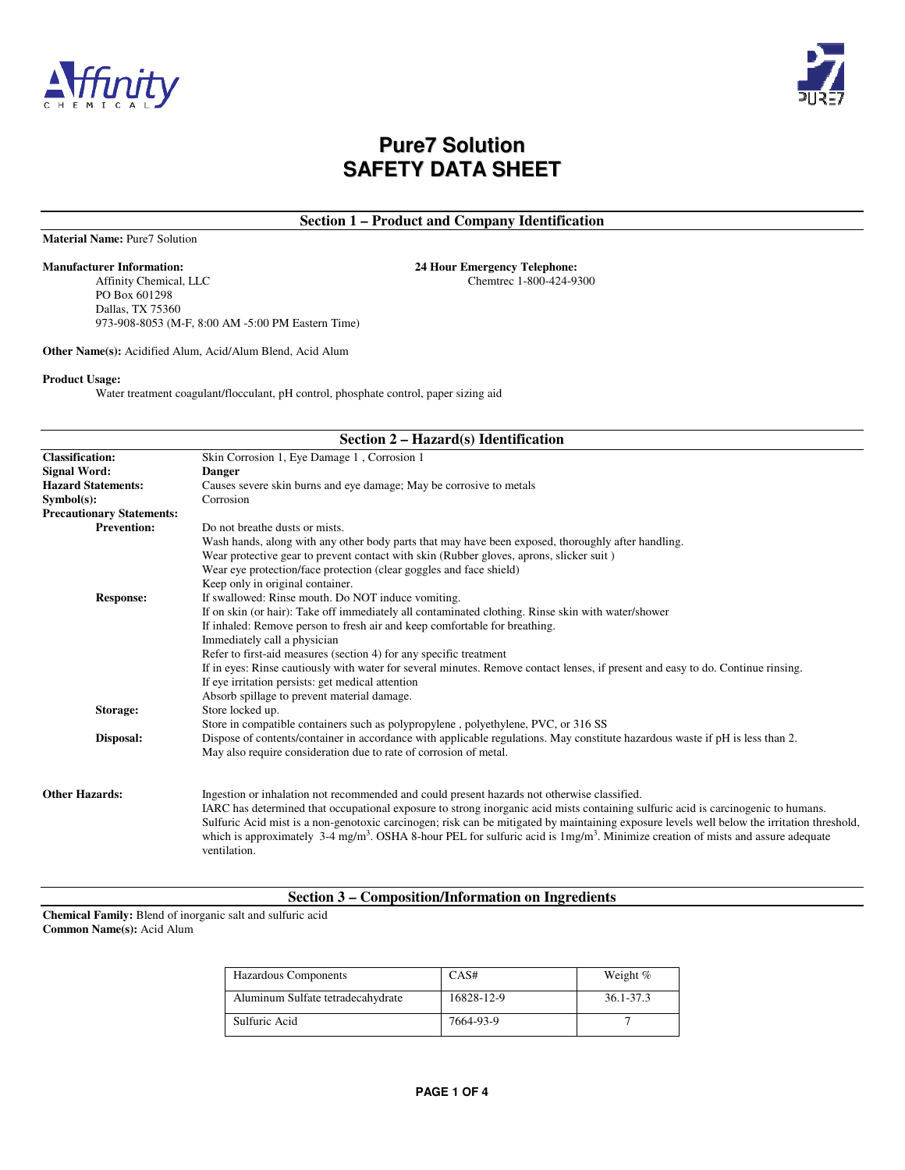



**Section 1 – Product and Company Identification** 

Chemtrec 1-800-424-9300

**Material Name:** Pure7 Solution

**Manufacturer Information:** 24 Hour Emergency Telephone:<br>24 Hour Emergency Telephone: Affinity Chemical, LLC Chemical Chemical Chemical Chemical Chemical Chemical Chemical Chemical Chemical Chemical Chemical Chemical Chemi PO Box 601298 Dallas, TX 75360 973-908-8053 (M-F, 8:00 AM -5:00 PM Eastern Time)

**Other Name(s):** Acidified Alum, Acid/Alum Blend, Acid Alum

#### **Product Usage:**

Water treatment coagulant/flocculant, pH control, phosphate control, paper sizing aid

| Section $2 - \text{Hazard}(s)$ Identification |                                                                                                                                                        |  |  |
|-----------------------------------------------|--------------------------------------------------------------------------------------------------------------------------------------------------------|--|--|
| <b>Classification:</b>                        | Skin Corrosion 1, Eye Damage 1, Corrosion 1                                                                                                            |  |  |
| <b>Signal Word:</b>                           | <b>Danger</b>                                                                                                                                          |  |  |
| <b>Hazard Statements:</b>                     | Causes severe skin burns and eye damage; May be corrosive to metals                                                                                    |  |  |
| Symbol(s):                                    | Corrosion                                                                                                                                              |  |  |
| <b>Precautionary Statements:</b>              |                                                                                                                                                        |  |  |
| <b>Prevention:</b>                            | Do not breathe dusts or mists.                                                                                                                         |  |  |
|                                               | Wash hands, along with any other body parts that may have been exposed, thoroughly after handling.                                                     |  |  |
|                                               | Wear protective gear to prevent contact with skin (Rubber gloves, aprons, slicker suit)                                                                |  |  |
|                                               | Wear eye protection/face protection (clear goggles and face shield)                                                                                    |  |  |
|                                               | Keep only in original container.                                                                                                                       |  |  |
| <b>Response:</b>                              | If swallowed: Rinse mouth. Do NOT induce vomiting.                                                                                                     |  |  |
|                                               | If on skin (or hair): Take off immediately all contaminated clothing. Rinse skin with water/shower                                                     |  |  |
|                                               | If inhaled: Remove person to fresh air and keep comfortable for breathing.                                                                             |  |  |
|                                               | Immediately call a physician                                                                                                                           |  |  |
|                                               | Refer to first-aid measures (section 4) for any specific treatment                                                                                     |  |  |
|                                               | If in eyes: Rinse cautiously with water for several minutes. Remove contact lenses, if present and easy to do. Continue rinsing.                       |  |  |
|                                               | If eye irritation persists: get medical attention                                                                                                      |  |  |
|                                               | Absorb spillage to prevent material damage.                                                                                                            |  |  |
| Storage:                                      | Store locked up.                                                                                                                                       |  |  |
|                                               | Store in compatible containers such as polypropylene, polyethylene, PVC, or 316 SS                                                                     |  |  |
| Disposal:                                     | Dispose of contents/container in accordance with applicable regulations. May constitute hazardous waste if pH is less than 2.                          |  |  |
|                                               | May also require consideration due to rate of corrosion of metal.                                                                                      |  |  |
|                                               |                                                                                                                                                        |  |  |
| <b>Other Hazards:</b>                         | Ingestion or inhalation not recommended and could present hazards not otherwise classified.                                                            |  |  |
|                                               | IARC has determined that occupational exposure to strong inorganic acid mists containing sulfuric acid is carcinogenic to humans.                      |  |  |
|                                               | Sulfuric Acid mist is a non-genotoxic carcinogen; risk can be mitigated by maintaining exposure levels well below the irritation threshold,            |  |  |
|                                               | which is approximately 3-4 mg/m <sup>3</sup> . OSHA 8-hour PEL for sulfuric acid is $1 \text{mg/m}^3$ . Minimize creation of mists and assure adequate |  |  |
|                                               | ventilation.                                                                                                                                           |  |  |
|                                               |                                                                                                                                                        |  |  |

#### **Section 3 – Composition/Information on Ingredients**

**Chemical Family:** Blend of inorganic salt and sulfuric acid **Common Name(s):** Acid Alum

| Hazardous Components              | CAS#       | Weight %  |
|-----------------------------------|------------|-----------|
| Aluminum Sulfate tetradecahydrate | 16828-12-9 | 36.1-37.3 |
| Sulfuric Acid                     | 7664-93-9  |           |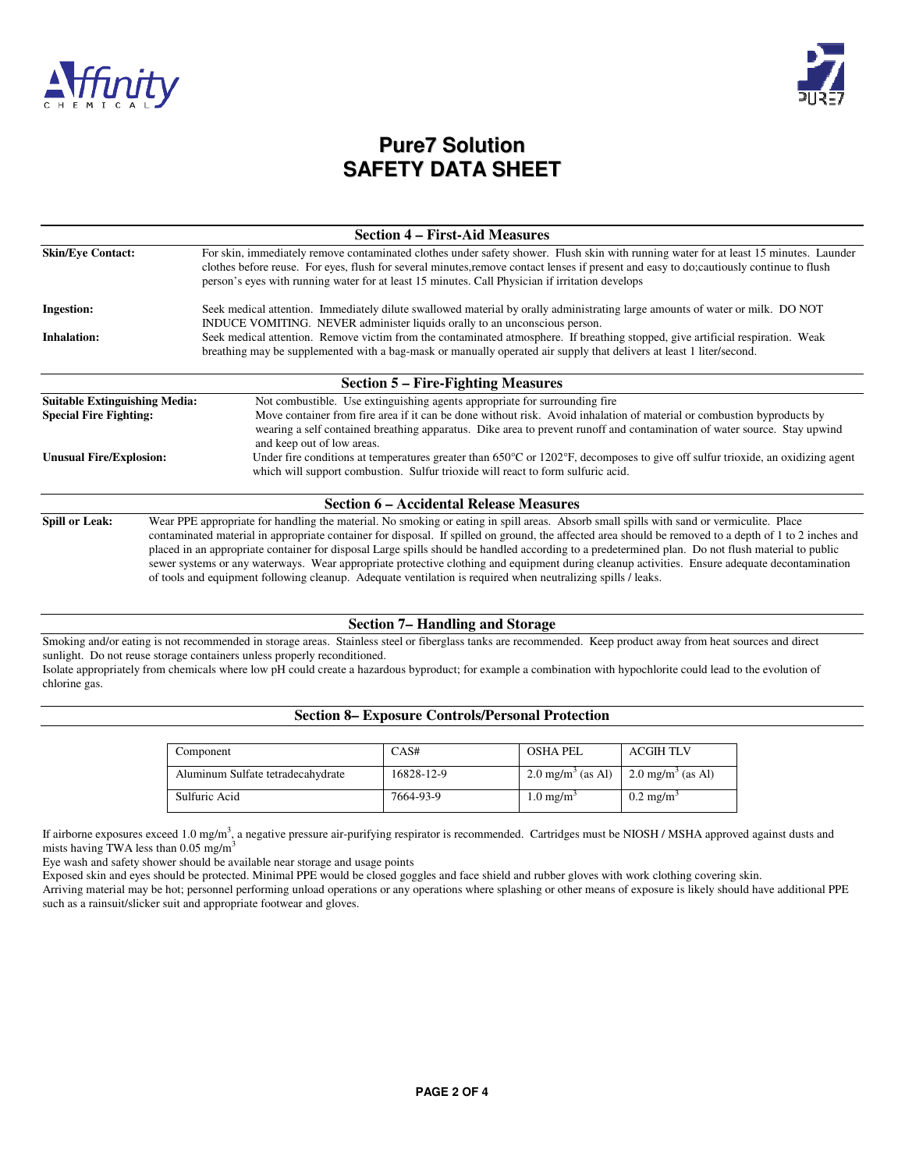



| <b>Section 4 – First-Aid Measures</b>          |                                                                                                                                                                                                                                                                                                                                                                                      |  |  |  |
|------------------------------------------------|--------------------------------------------------------------------------------------------------------------------------------------------------------------------------------------------------------------------------------------------------------------------------------------------------------------------------------------------------------------------------------------|--|--|--|
| <b>Skin/Eye Contact:</b>                       | For skin, immediately remove contaminated clothes under safety shower. Flush skin with running water for at least 15 minutes. Launder<br>clothes before reuse. For eyes, flush for several minutes, remove contact lenses if present and easy to do; cautiously continue to flush<br>person's eyes with running water for at least 15 minutes. Call Physician if irritation develops |  |  |  |
| <b>Ingestion:</b>                              | Seek medical attention. Immediately dilute swallowed material by orally administrating large amounts of water or milk. DO NOT<br>INDUCE VOMITING. NEVER administer liquids orally to an unconscious person.                                                                                                                                                                          |  |  |  |
| <b>Inhalation:</b>                             | Seek medical attention. Remove victim from the contaminated atmosphere. If breathing stopped, give artificial respiration. Weak<br>breathing may be supplemented with a bag-mask or manually operated air supply that delivers at least 1 liter/second.                                                                                                                              |  |  |  |
|                                                | <b>Section 5 – Fire-Fighting Measures</b>                                                                                                                                                                                                                                                                                                                                            |  |  |  |
| <b>Suitable Extinguishing Media:</b>           | Not combustible. Use extinguishing agents appropriate for surrounding fire                                                                                                                                                                                                                                                                                                           |  |  |  |
| <b>Special Fire Fighting:</b>                  | Move container from fire area if it can be done without risk. Avoid inhalation of material or combustion byproducts by<br>wearing a self contained breathing apparatus. Dike area to prevent runoff and contamination of water source. Stay upwind<br>and keep out of low areas.                                                                                                     |  |  |  |
| <b>Unusual Fire/Explosion:</b>                 | Under fire conditions at temperatures greater than $650^{\circ}$ C or 1202 $^{\circ}$ F, decomposes to give off sulfur trioxide, an oxidizing agent<br>which will support combustion. Sulfur trioxide will react to form sulfuric acid.                                                                                                                                              |  |  |  |
| <b>Section 6 – Accidental Release Measures</b> |                                                                                                                                                                                                                                                                                                                                                                                      |  |  |  |
| <b>Spill or Leak:</b>                          | Wear PPE appropriate for handling the material. No smoking or eating in spill areas. Absorb small spills with sand or vermiculite. Place<br>contaminated material in appropriate container for disposal. If spilled on ground, the affected area should be removed to a depth of 1 to 2 inches and                                                                                   |  |  |  |

placed in an appropriate container for disposal Large spills should be handled according to a predetermined plan. Do not flush material to public sewer systems or any waterways. Wear appropriate protective clothing and equipment during cleanup activities. Ensure adequate decontamination of tools and equipment following cleanup. Adequate ventilation is required when neutralizing spills / leaks.

#### **Section 7– Handling and Storage**

Smoking and/or eating is not recommended in storage areas. Stainless steel or fiberglass tanks are recommended. Keep product away from heat sources and direct sunlight. Do not reuse storage containers unless properly reconditioned.

Isolate appropriately from chemicals where low pH could create a hazardous byproduct; for example a combination with hypochlorite could lead to the evolution of chlorine gas.

### **Section 8– Exposure Controls/Personal Protection**

| Component                         | CAS#       | <b>OSHA PEL</b>                                               | <b>ACGIH TLV</b>     |
|-----------------------------------|------------|---------------------------------------------------------------|----------------------|
| Aluminum Sulfate tetradecahydrate | 16828-12-9 | 2.0 mg/m <sup>3</sup> (as Al)   2.0 mg/m <sup>3</sup> (as Al) |                      |
| Sulfuric Acid                     | 7664-93-9  | $1.0 \text{ mg/m}^3$                                          | $0.2 \text{ mg/m}^3$ |

If airborne exposures exceed 1.0 mg/m<sup>3</sup>, a negative pressure air-purifying respirator is recommended. Cartridges must be NIOSH / MSHA approved against dusts and mists having TWA less than  $0.05$  mg/m<sup>3</sup>

Eye wash and safety shower should be available near storage and usage points

Exposed skin and eyes should be protected. Minimal PPE would be closed goggles and face shield and rubber gloves with work clothing covering skin.

Arriving material may be hot; personnel performing unload operations or any operations where splashing or other means of exposure is likely should have additional PPE such as a rainsuit/slicker suit and appropriate footwear and gloves.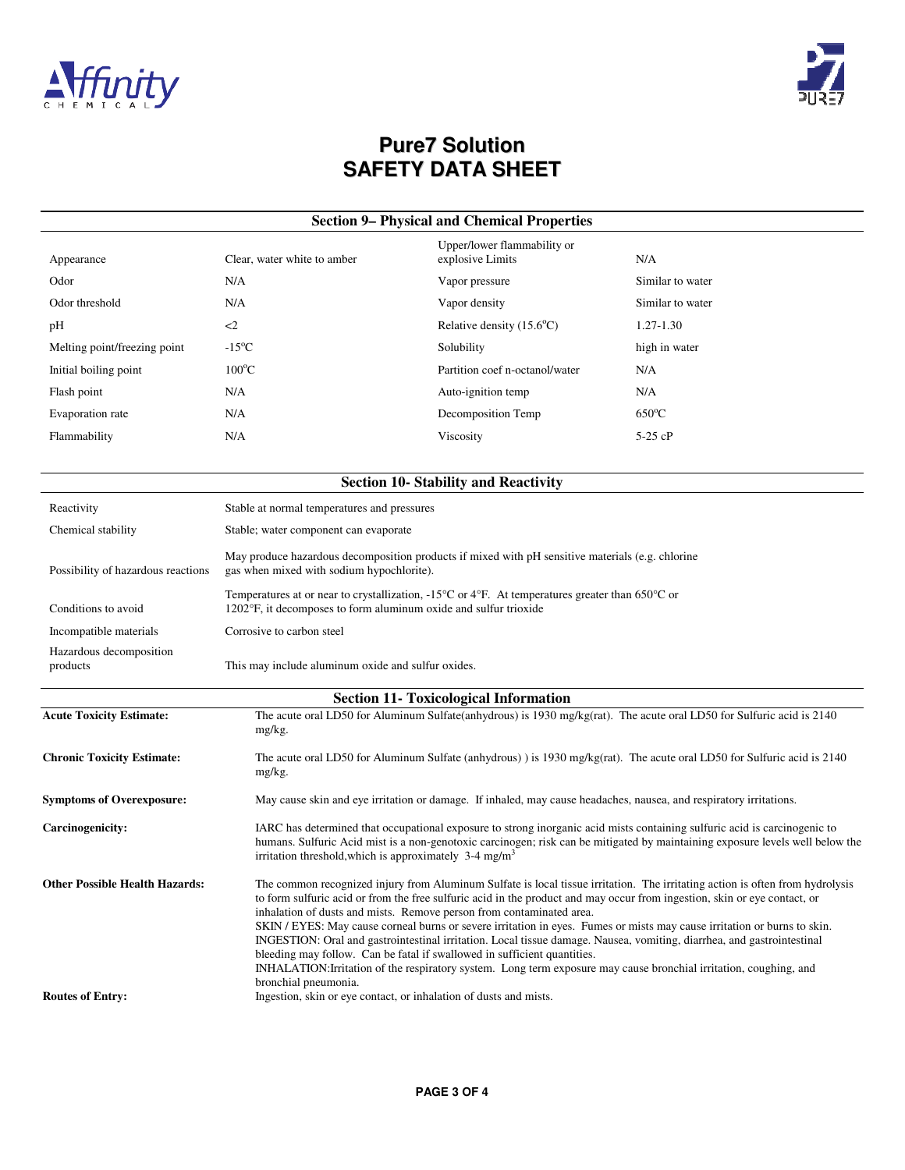



| Appearance                   | Clear, water white to amber | Upper/lower flammability or<br>explosive Limits | N/A              |
|------------------------------|-----------------------------|-------------------------------------------------|------------------|
| Odor                         | N/A                         | Vapor pressure                                  | Similar to water |
| Odor threshold               | N/A                         | Vapor density                                   | Similar to water |
| pH                           | $\langle$ 2                 | Relative density $(15.6^{\circ}C)$              | 1.27-1.30        |
| Melting point/freezing point | $-15^{\circ}$ C             | Solubility                                      | high in water    |
| Initial boiling point        | $100^{\circ}$ C             | Partition coef n-octanol/water                  | N/A              |
| Flash point                  | N/A                         | Auto-ignition temp                              | N/A              |
| Evaporation rate             | N/A                         | Decomposition Temp                              | $650^{\circ}$ C  |
| Flammability                 | N/A                         | Viscosity                                       | $5-25$ cP        |
|                              |                             |                                                 |                  |

| <b>Section 10- Stability and Reactivity</b> |                                                                                                                                                                                                            |  |  |  |
|---------------------------------------------|------------------------------------------------------------------------------------------------------------------------------------------------------------------------------------------------------------|--|--|--|
| Reactivity                                  | Stable at normal temperatures and pressures                                                                                                                                                                |  |  |  |
| Chemical stability                          | Stable; water component can evaporate                                                                                                                                                                      |  |  |  |
| Possibility of hazardous reactions          | May produce hazardous decomposition products if mixed with pH sensitive materials (e.g. chlorine<br>gas when mixed with sodium hypochlorite).                                                              |  |  |  |
| Conditions to avoid                         | Temperatures at or near to crystallization, -15 <sup>o</sup> C or 4 <sup>o</sup> F. At temperatures greater than 650 <sup>o</sup> C or<br>1202°F, it decomposes to form aluminum oxide and sulfur trioxide |  |  |  |
| Incompatible materials                      | Corrosive to carbon steel                                                                                                                                                                                  |  |  |  |
| Hazardous decomposition<br>products         | This may include aluminum oxide and sulfur oxides.                                                                                                                                                         |  |  |  |

| <b>Section 11- Toxicological Information</b> |                                                                                                                                                                                                                                                                                                                                                                                                                                                                                                                                                                                                                                                                                                                                                                                                                    |  |  |  |
|----------------------------------------------|--------------------------------------------------------------------------------------------------------------------------------------------------------------------------------------------------------------------------------------------------------------------------------------------------------------------------------------------------------------------------------------------------------------------------------------------------------------------------------------------------------------------------------------------------------------------------------------------------------------------------------------------------------------------------------------------------------------------------------------------------------------------------------------------------------------------|--|--|--|
| <b>Acute Toxicity Estimate:</b>              | The acute oral LD50 for Aluminum Sulfate(anhydrous) is 1930 mg/kg(rat). The acute oral LD50 for Sulfuric acid is 2140<br>mg/kg.                                                                                                                                                                                                                                                                                                                                                                                                                                                                                                                                                                                                                                                                                    |  |  |  |
| <b>Chronic Toxicity Estimate:</b>            | The acute oral LD50 for Aluminum Sulfate (anhydrous) is 1930 mg/kg(rat). The acute oral LD50 for Sulfuric acid is 2140<br>mg/kg.                                                                                                                                                                                                                                                                                                                                                                                                                                                                                                                                                                                                                                                                                   |  |  |  |
| <b>Symptoms of Overexposure:</b>             | May cause skin and eye irritation or damage. If inhaled, may cause headaches, nausea, and respiratory irritations.                                                                                                                                                                                                                                                                                                                                                                                                                                                                                                                                                                                                                                                                                                 |  |  |  |
| Carcinogenicity:                             | IARC has determined that occupational exposure to strong inorganic acid mists containing sulfuric acid is carcinogenic to<br>humans. Sulfuric Acid mist is a non-genotoxic carcinogen; risk can be mitigated by maintaining exposure levels well below the<br>irritation threshold, which is approximately $3-4$ mg/m <sup>3</sup>                                                                                                                                                                                                                                                                                                                                                                                                                                                                                 |  |  |  |
| <b>Other Possible Health Hazards:</b>        | The common recognized injury from Aluminum Sulfate is local tissue irritation. The irritating action is often from hydrolysis<br>to form sulfuric acid or from the free sulfuric acid in the product and may occur from ingestion, skin or eye contact, or<br>inhalation of dusts and mists. Remove person from contaminated area.<br>SKIN / EYES: May cause corneal burns or severe irritation in eyes. Fumes or mists may cause irritation or burns to skin.<br>INGESTION: Oral and gastrointestinal irritation. Local tissue damage. Nausea, vomiting, diarrhea, and gastrointestinal<br>bleeding may follow. Can be fatal if swallowed in sufficient quantities.<br>INHALATION: Irritation of the respiratory system. Long term exposure may cause bronchial irritation, coughing, and<br>bronchial pneumonia. |  |  |  |
| <b>Routes of Entry:</b>                      | Ingestion, skin or eye contact, or inhalation of dusts and mists.                                                                                                                                                                                                                                                                                                                                                                                                                                                                                                                                                                                                                                                                                                                                                  |  |  |  |